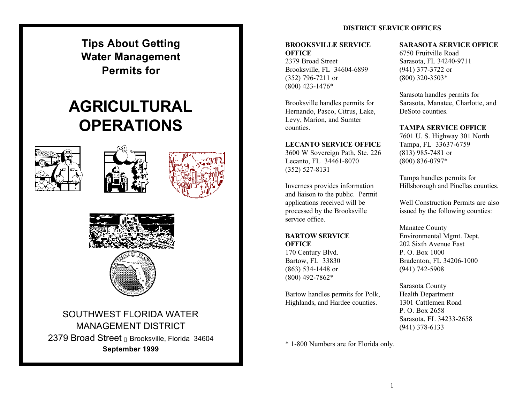**Tips About Getting Water Management Permits for**

# **AGRICULTURALOPERATIONS**









SOUTHWEST FLORIDA WATERMANAGEMENT DISTRICT2379 Broad Street Brooksville, Florida 34604 **September 1999**

## **DISTRICT SERVICE OFFICES**

## **BROOKSVILLE SERVICEOFFICE**

2379 Broad StreetBrooksville, FL 34604-6899 (352) 796-7211 or (800) 423-1476\*

Brooksville handles permits for Hernando, Pasco, Citrus, Lake, Levy, Marion, and Sumter counties.

#### **LECANTO SERVICE OFFICE**

3600 W Sovereign Path, Ste. 226 Lecanto, FL 34461-8070 (352) 527-8131

Inverness provides information and liaison to the public. Permit applications received will be processed by the Brooksville service office.

#### **BARTOW SERVICE OFFICE**

170 Century Blvd. Bartow, FL 33830 (863) 534-1448 or (800) 492-7862\*

Bartow handles permits for Polk, Highlands, and Hardee counties.

**SARASOTA SERVICE OFFICE**

6750 Fruitville RoadSarasota, FL 34240-9711 (941) 377-3722 or (800) 320-3503\*

Sarasota handles permits for Sarasota, Manatee, Charlotte, and DeSoto counties.

#### **TAMPA SERVICE OFFICE**

7601 U. S. Highway 301 North Tampa, FL 33637-6759 (813) 985-7481 or (800) 836-0797\*

Tampa handles permits for Hillsborough and Pinellas counties.

Well Construction Permits are alsoissued by the following counties:

Manatee County Environmental Mgmt. Dept. 202 Sixth Avenue EastP. O. Box 1000Bradenton, FL 34206-1000 (941) 742-5908

Sarasota County Health Department 1301 Cattlemen RoadP. O. Box 2658Sarasota, FL 34233-2658 (941) 378-6133

\* 1-800 Numbers are for Florida only.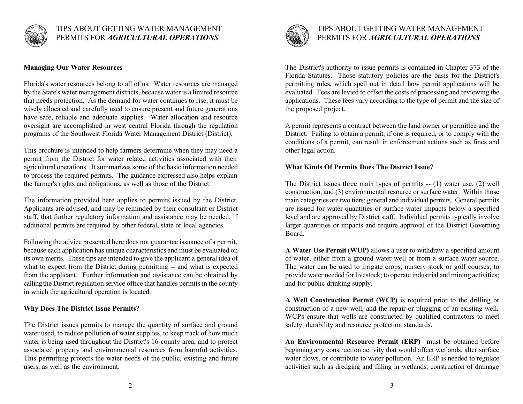

## **Managing Our Water Resources**

Florida's water resources belong to all of us. Water resources are managed by the State's water management districts, because water is a limited resource that needs protection. As the demand for water continues to rise, it must be wisely allocated and carefully used to ensure present and future generations have safe, reliable and adequate supplies. Water allocation and resource oversight are accomplished in west central Florida through the regulation programs of the Southwest Florida Water Management District (District).

This brochure is intended to help farmers determine when they may need a permit from the District for water related activities associated with their agricultural operations. It summarizes some of the basic information needed to process the required permits. The guidance expressed also helps explain the farmer's rights and obligations, as well as those of the District.

The information provided here applies to permits issued by the District. Applicants are advised, and may be reminded by their consultant or District staff, that further regulatory information and assistance may be needed, if additional permits are required by other federal, state or local agencies.

Following the advice presented here does not guarantee issuance of a permit, because each application has unique characteristics and must be evaluated on its own merits. These tips are intended to give the applicant a general idea of what to expect from the District during permitting -- and what is expected from the applicant. Further information and assistance can be obtained by calling the District regulation service office that handles permits in the county in which the agricultural operation is located.

#### **Why Does The District Issue Permits?**

The District issues permits to manage the quantity of surface and ground water used, to reduce pollution of water supplies, to keep track of how much water is being used throughout the District's 16-county area, and to protect associated property and environmental resources from harmful activities. This permitting protects the water needs of the public, existing and future users, as well as the environment.



## TIPS ABOUT GETTING WATER MANAGEMENTPERMITS FOR *AGRICULTURAL OPERATIONS*

The District's authority to issue permits is contained in Chapter 373 of the Florida Statutes. Those statutory policies are the basis for the District's permitting rules, which spell out in detail how permit applications will be evaluated. Fees are levied to offset the costs of processing and reviewing the applications. These fees vary according to the type of permit and the size of the proposed project.

A permit represents a contract between the land owner or permittee and the District. Failing to obtain a permit, if one is required, or to comply with the conditions of a permit, can result in enforcement actions such as fines and other legal action.

#### **What Kinds Of Permits Does The District Issue?**

The District issues three main types of permits -- (1) water use, (2) well construction, and (3) environmental resource or surface water. Within those main categories are two tiers: general and individual permits. General permits are issued for water quantities or surface water impacts below a specified level and are approved by District staff. Individual permits typically involve larger quantities or impacts and require approval of the District Governing Board.

**A Water Use Permit (WUP)** allows a user to withdraw a specified amount of water, either from a ground water well or from a surface water source. The water can be used to irrigate crops, nursery stock or golf courses; to provide water needed for livestock; to operate industrial and mining activities; and for public drinking supply.

**A Well Construction Permit (WCP)** is required prior to the drilling or construction of a new well, and the repair or plugging of an existing well. WCPs ensure that wells are constructed by qualified contractors to meet safety, durability and resource protection standards.

**An Environmental Resource Permit (ERP)** must be obtained before beginning any construction activity that would affect wetlands, alter surface water flows, or contribute to water pollution. An ERP is needed to regulate activities such as dredging and filling in wetlands, construction of drainage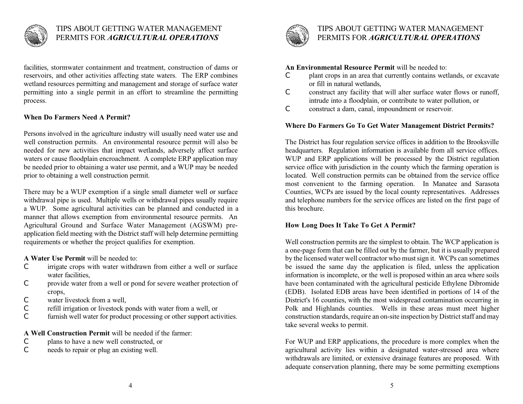

facilities, stormwater containment and treatment, construction of dams or reservoirs, and other activities affecting state waters. The ERP combines wetland resources permitting and management and storage of surface water permitting into a single permit in an effort to streamline the permitting process.

### **When Do Farmers Need A Permit?**

Persons involved in the agriculture industry will usually need water use and well construction permits. An environmental resource permit will also be needed for new activities that impact wetlands, adversely affect surface waters or cause floodplain encroachment. A complete ERP application may be needed prior to obtaining a water use permit, and a WUP may be needed prior to obtaining a well construction permit.

There may be a WUP exemption if a single small diameter well or surface withdrawal pipe is used. Multiple wells or withdrawal pipes usually require a WUP. Some agricultural activities can be planned and conducted in a manner that allows exemption from environmental resource permits. An Agricultural Ground and Surface Water Management (AGSWM) preapplication field meeting with the District staff will help determine permitting requirements or whether the project qualifies for exemption.

**A Water Use Permit** will be needed to:

- C irrigate crops with water withdrawn from either a well or surface water facilities,
- C provide water from a well or pond for severe weather protection of crops,
- Cwater livestock from a well,
- Crefill irrigation or livestock ponds with water from a well, or
- $\bigcap$ furnish well water for product processing or other support activities.

**A Well Construction Permit** will be needed if the farmer:

- Cplans to have a new well constructed, or
- $\mathcal{C}$ needs to repair or plug an existing well.



## TIPS ABOUT GETTING WATER MANAGEMENTPERMITS FOR *AGRICULTURAL OPERATIONS*

#### **An Environmental Resource Permit** will be needed to:

- $\mathcal{C}$  plant crops in an area that currently contains wetlands, or excavate or fill in natural wetlands,
- $\mathcal{C}$  construct any facility that will alter surface water flows or runoff, intrude into a floodplain, or contribute to water pollution, or
- $\mathcal{C}$ construct a dam, canal, impoundment or reservoir.

## **Where Do Farmers Go To Get Water Management District Permits?**

The District has four regulation service offices in addition to the Brooksville headquarters. Regulation information is available from all service offices. WUP and ERP applications will be processed by the District regulation service office with jurisdiction in the county which the farming operation is located. Well construction permits can be obtained from the service office most convenient to the farming operation. In Manatee and Sarasota Counties, WCPs are issued by the local county representatives. Addresses and telephone numbers for the service offices are listed on the first page of this brochure.

### **How Long Does It Take To Get A Permit?**

Well construction permits are the simplest to obtain. The WCP application is a one-page form that can be filled out by the farmer, but it is usually prepared by the licensed water well contractor who must sign it. WCPs can sometimes be issued the same day the application is filed, unless the application information is incomplete, or the well is proposed within an area where soils have been contaminated with the agricultural pesticide Ethylene Dibromide (EDB). Isolated EDB areas have been identified in portions of 14 of the District's 16 counties, with the most widespread contamination occurring in Polk and Highlands counties. Wells in these areas must meet higher construction standards, require an on-site inspection by District staff and may take several weeks to permit.

For WUP and ERP applications, the procedure is more complex when the agricultural activity lies within a designated water-stressed area where withdrawals are limited, or extensive drainage features are proposed. With adequate conservation planning, there may be some permitting exemptions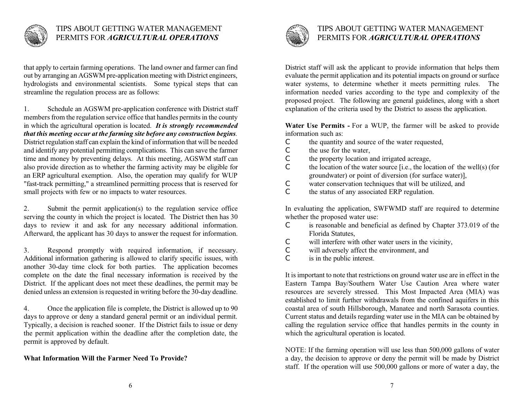

that apply to certain farming operations. The land owner and farmer can find out by arranging an AGSWM pre-application meeting with District engineers, hydrologists and environmental scientists. Some typical steps that can streamline the regulation process are as follows:

1. Schedule an AGSWM pre-application conference with District staff members from the regulation service office that handles permits in the county in which the agricultural operation is located. *It is strongly recommended that this meeting occur at the farming site before any construction begins.* District regulation staff can explain the kind of information that will be needed and identify any potential permitting complications. This can save the farmer time and money by preventing delays. At this meeting, AGSWM staff can also provide direction as to whether the farming activity may be eligible for an ERP agricultural exemption. Also, the operation may qualify for WUP "fast-track permitting," a streamlined permitting process that is reserved for small projects with few or no impacts to water resources.

2. Submit the permit application(s) to the regulation service office serving the county in which the project is located. The District then has 30 days to review it and ask for any necessary additional information. Afterward, the applicant has 30 days to answer the request for information.

3. Respond promptly with required information, if necessary. Additional information gathering is allowed to clarify specific issues, with another 30-day time clock for both parties. The application becomes complete on the date the final necessary information is received by the District. If the applicant does not meet these deadlines, the permit may be denied unless an extension is requested in writing before the 30-day deadline.

4. Once the application file is complete, the District is allowed up to 90 days to approve or deny a standard general permit or an individual permit. Typically, a decision is reached sooner. If the District fails to issue or deny the permit application within the deadline after the completion date, the permit is approved by default.

#### **What Information Will the Farmer Need To Provide?**



## TIPS ABOUT GETTING WATER MANAGEMENTPERMITS FOR *AGRICULTURAL OPERATIONS*

District staff will ask the applicant to provide information that helps them evaluate the permit application and its potential impacts on ground or surface water systems, to determine whether it meets permitting rules. The information needed varies according to the type and complexity of the proposed project. The following are general guidelines, along with a short explanation of the criteria used by the District to assess the application.

**Water Use Permits -** For a WUP, the farmer will be asked to provide information such as:

- Cthe quantity and source of the water requested,
- $\overline{C}$ the use for the water,
- Cthe property location and irrigated acreage,
- $\cap$  the location of the water source [i.e., the location of the well(s) (for groundwater) or point of diversion (for surface water)],
- Cwater conservation techniques that will be utilized, and
- $\overline{C}$ the status of any associated ERP regulation.

In evaluating the application, SWFWMD staff are required to determine whether the proposed water use:

- $\mathcal{C}$  is reasonable and beneficial as defined by Chapter 373.019 of the Florida Statutes,
- $\mathcal{C}$ will interfere with other water users in the vicinity,
- $\mathcal{C}$ will adversely affect the environment, and
- $\overline{C}$ is in the public interest.

It is important to note that restrictions on ground water use are in effect in the Eastern Tampa Bay/Southern Water Use Caution Area where water resources are severely stressed. This Most Impacted Area (MIA) was established to limit further withdrawals from the confined aquifers in this coastal area of south Hillsborough, Manatee and north Sarasota counties. Current status and details regarding water use in the MIA can be obtained by calling the regulation service office that handles permits in the county in which the agricultural operation is located.

NOTE: If the farming operation will use less than 500,000 gallons of water a day, the decision to approve or deny the permit will be made by District staff. If the operation will use 500,000 gallons or more of water a day, the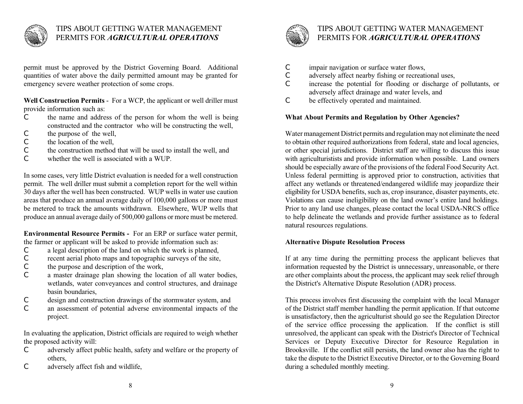

permit must be approved by the District Governing Board. Additional quantities of water above the daily permitted amount may be granted for emergency severe weather protection of some crops.

**Well Construction Permits** - For a WCP, the applicant or well driller must provide information such as:

- C the name and address of the person for whom the well is being constructed and the contractor who will be constructing the well,
- Cthe purpose of the well,
- Cthe location of the well,
- Cthe construction method that will be used to install the well, and
- Cwhether the well is associated with a WUP.

In some cases, very little District evaluation is needed for a well construction permit. The well driller must submit a completion report for the well within 30 days after the well has been constructed. WUP wells in water use caution areas that produce an annual average daily of 100,000 gallons or more must be metered to track the amounts withdrawn. Elsewhere, WUP wells that produce an annual average daily of 500,000 gallons or more must be metered.

**Environmental Resource Permits -** For an ERP or surface water permit, the farmer or applicant will be asked to provide information such as:

- Ca legal description of the land on which the work is planned,
- Crecent aerial photo maps and topographic surveys of the site,
- Cthe purpose and description of the work,
- $\overline{C}$  a master drainage plan showing the location of all water bodies, wetlands, water conveyances and control structures, and drainage basin boundaries,
- Cdesign and construction drawings of the stormwater system, and
- $\bigcap$  an assessment of potential adverse environmental impacts of the project.

In evaluating the application, District officials are required to weigh whether the proposed activity will:

- $\mathcal{C}$  adversely affect public health, safety and welfare or the property of others,
- Cadversely affect fish and wildlife,



## TIPS ABOUT GETTING WATER MANAGEMENTPERMITS FOR *AGRICULTURAL OPERATIONS*

- Cimpair navigation or surface water flows,
- Cadversely affect nearby fishing or recreational uses,
- $\cap$  increase the potential for flooding or discharge of pollutants, or adversely affect drainage and water levels, and
- $\mathcal{C}$ be effectively operated and maintained.

## **What About Permits and Regulation by Other Agencies?**

Water management District permits and regulation may not eliminate the need to obtain other required authorizations from federal, state and local agencies, or other special jurisdictions. District staff are willing to discuss this issue with agriculturistists and provide information when possible. Land owners should be especially aware of the provisions of the federal Food Security Act. Unless federal permitting is approved prior to construction, activities that affect any wetlands or threatened/endangered wildlife may jeopardize their eligibility for USDA benefits, such as, crop insurance, disaster payments, etc. Violations can cause ineligibility on the land owner's entire land holdings. Prior to any land use changes, please contact the local USDA-NRCS office to help delineate the wetlands and provide further assistance as to federal natural resources regulations.

## **Alternative Dispute Resolution Process**

If at any time during the permitting process the applicant believes that information requested by the District is unnecessary, unreasonable, or there are other complaints about the process, the applicant may seek relief through the District's Alternative Dispute Resolution (ADR) process.

This process involves first discussing the complaint with the local Manager of the District staff member handling the permit application. If that outcome is unsatisfactory, then the agriculturist should go see the Regulation Director of the service office processing the application. If the conflict is still unresolved, the applicant can speak with the District's Director of Technical Services or Deputy Executive Director for Resource Regulation in Brooksville. If the conflict still persists, the land owner also has the right to take the dispute to the District Executive Director, or to the Governing Board during a scheduled monthly meeting.